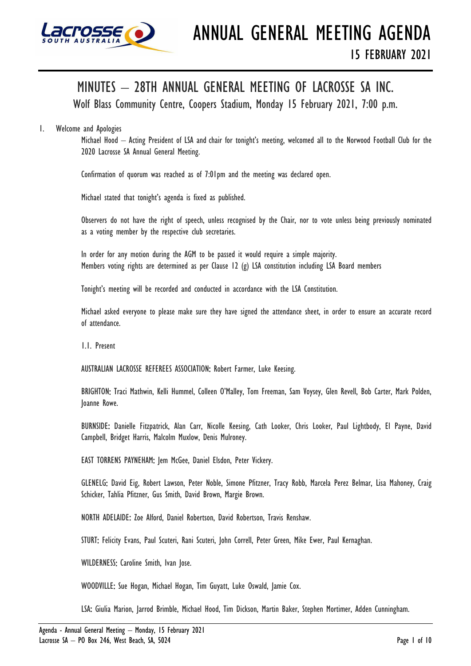

# MINUTES – 28TH ANNUAL GENERAL MEETING OF LACROSSE SA INC.

Wolf Blass Community Centre, Coopers Stadium, Monday 15 February 2021, 7:00 p.m.

# 1. Welcome and Apologies

Michael Hood – Acting President of LSA and chair for tonight's meeting, welcomed all to the Norwood Football Club for the 2020 Lacrosse SA Annual General Meeting.

Confirmation of quorum was reached as of 7:01pm and the meeting was declared open.

Michael stated that tonight's agenda is fixed as published.

Observers do not have the right of speech, unless recognised by the Chair, nor to vote unless being previously nominated as a voting member by the respective club secretaries.

In order for any motion during the AGM to be passed it would require a simple majority. Members voting rights are determined as per Clause 12 (g) LSA constitution including LSA Board members

Tonight's meeting will be recorded and conducted in accordance with the LSA Constitution.

Michael asked everyone to please make sure they have signed the attendance sheet, in order to ensure an accurate record of attendance.

1.1. Present

AUSTRALIAN LACROSSE REFEREES ASSOCIATION: Robert Farmer, Luke Keesing.

BRIGHTON: Traci Mathwin, Kelli Hummel, Colleen O'Malley, Tom Freeman, Sam Voysey, Glen Revell, Bob Carter, Mark Polden, Joanne Rowe.

BURNSIDE: Danielle Fitzpatrick, Alan Carr, Nicolle Keesing, Cath Looker, Chris Looker, Paul Lightbody, El Payne, David Campbell, Bridget Harris, Malcolm Muxlow, Denis Mulroney.

EAST TORRENS PAYNEHAM: Jem McGee, Daniel Elsdon, Peter Vickery.

GLENELG: David Eig, Robert Lawson, Peter Noble, Simone Pfitzner, Tracy Robb, Marcela Perez Belmar, Lisa Mahoney, Craig Schicker, Tahlia Pfitzner, Gus Smith, David Brown, Margie Brown.

NORTH ADELAIDE: Zoe Alford, Daniel Robertson, David Robertson, Travis Renshaw.

STURT: Felicity Evans, Paul Scuteri, Rani Scuteri, John Correll, Peter Green, Mike Ewer, Paul Kernaghan.

WILDERNESS: Caroline Smith, Ivan Jose.

WOODVILLE: Sue Hogan, Michael Hogan, Tim Guyatt, Luke Oswald, Jamie Cox.

LSA: Giulia Marion, Jarrod Brimble, Michael Hood, Tim Dickson, Martin Baker, Stephen Mortimer, Adden Cunningham.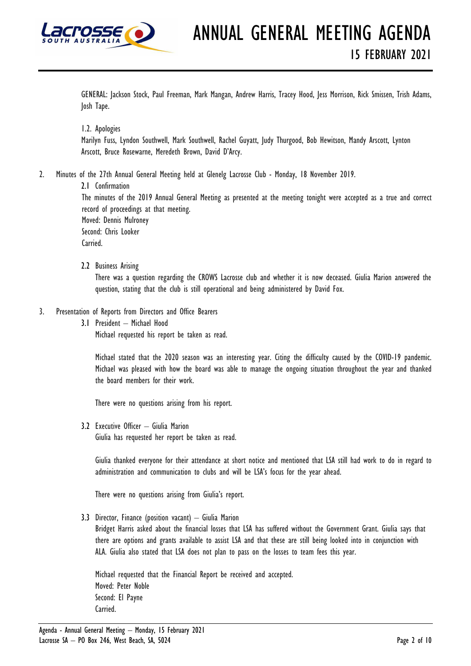

GENERAL: Jackson Stock, Paul Freeman, Mark Mangan, Andrew Harris, Tracey Hood, Jess Morrison, Rick Smissen, Trish Adams, Josh Tape.

1.2. Apologies

Marilyn Fuss, Lyndon Southwell, Mark Southwell, Rachel Guyatt, Judy Thurgood, Bob Hewitson, Mandy Arscott, Lynton Arscott, Bruce Rosewarne, Meredeth Brown, David D'Arcy.

2. Minutes of the 27th Annual General Meeting held at Glenelg Lacrosse Club - Monday, 18 November 2019.

2.1 Confirmation The minutes of the 2019 Annual General Meeting as presented at the meeting tonight were accepted as a true and correct record of proceedings at that meeting. Moved: Dennis Mulroney Second: Chris Looker Carried.

2.2 Business Arising

There was a question regarding the CROWS Lacrosse club and whether it is now deceased. Giulia Marion answered the question, stating that the club is still operational and being administered by David Fox.

- 3. Presentation of Reports from Directors and Office Bearers
	- 3.1 President Michael Hood

Michael requested his report be taken as read.

Michael stated that the 2020 season was an interesting year. Citing the difficulty caused by the COVID-19 pandemic. Michael was pleased with how the board was able to manage the ongoing situation throughout the year and thanked the board members for their work.

There were no questions arising from his report.

3.2 Executive Officer – Giulia Marion

Giulia has requested her report be taken as read.

Giulia thanked everyone for their attendance at short notice and mentioned that LSA still had work to do in regard to administration and communication to clubs and will be LSA's focus for the year ahead.

There were no questions arising from Giulia's report.

3.3 Director, Finance (position vacant) – Giulia Marion

Bridget Harris asked about the financial losses that LSA has suffered without the Government Grant. Giulia says that there are options and grants available to assist LSA and that these are still being looked into in conjunction with ALA. Giulia also stated that LSA does not plan to pass on the losses to team fees this year.

Michael requested that the Financial Report be received and accepted. Moved: Peter Noble Second: El Payne Carried.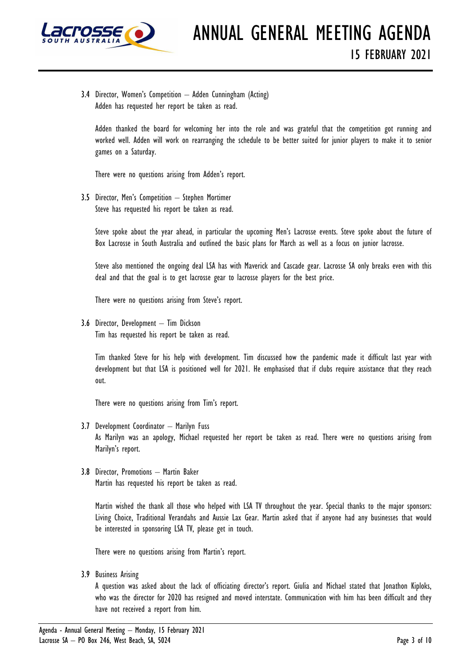

3.4 Director, Women's Competition – Adden Cunningham (Acting) Adden has requested her report be taken as read.

Adden thanked the board for welcoming her into the role and was grateful that the competition got running and worked well. Adden will work on rearranging the schedule to be better suited for junior players to make it to senior games on a Saturday.

There were no questions arising from Adden's report.

3.5 Director, Men's Competition – Stephen Mortimer Steve has requested his report be taken as read.

Steve spoke about the year ahead, in particular the upcoming Men's Lacrosse events. Steve spoke about the future of Box Lacrosse in South Australia and outlined the basic plans for March as well as a focus on junior lacrosse.

Steve also mentioned the ongoing deal LSA has with Maverick and Cascade gear. Lacrosse SA only breaks even with this deal and that the goal is to get lacrosse gear to lacrosse players for the best price.

There were no questions arising from Steve's report.

3.6 Director, Development – Tim Dickson Tim has requested his report be taken as read.

Tim thanked Steve for his help with development. Tim discussed how the pandemic made it difficult last year with development but that LSA is positioned well for 2021. He emphasised that if clubs require assistance that they reach out.

There were no questions arising from Tim's report.

- 3.7 Development Coordinator Marilyn Fuss As Marilyn was an apology, Michael requested her report be taken as read. There were no questions arising from Marilyn's report.
- 3.8 Director, Promotions Martin Baker Martin has requested his report be taken as read.

Martin wished the thank all those who helped with LSA TV throughout the year. Special thanks to the major sponsors: Living Choice, Traditional Verandahs and Aussie Lax Gear. Martin asked that if anyone had any businesses that would be interested in sponsoring LSA TV, please get in touch.

There were no questions arising from Martin's report.

3.9 Business Arising

A question was asked about the lack of officiating director's report. Giulia and Michael stated that Jonathon Kiploks, who was the director for 2020 has resigned and moved interstate. Communication with him has been difficult and they have not received a report from him.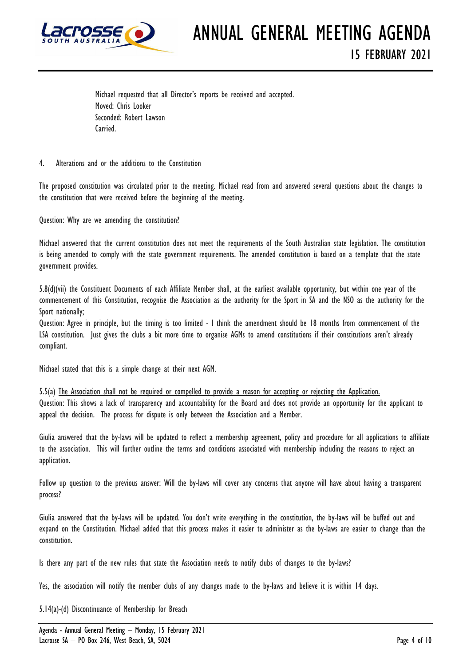

ANNUAL GENERAL MEETING AGENDA 15 FEBRUARY 2021

Michael requested that all Director's reports be received and accepted. Moved: Chris Looker Seconded: Robert Lawson Carried.

4. Alterations and or the additions to the Constitution

The proposed constitution was circulated prior to the meeting. Michael read from and answered several questions about the changes to the constitution that were received before the beginning of the meeting.

Question: Why are we amending the constitution?

Michael answered that the current constitution does not meet the requirements of the South Australian state legislation. The constitution is being amended to comply with the state government requirements. The amended constitution is based on a template that the state government provides.

5.8(d)(vii) the Constituent Documents of each Affiliate Member shall, at the earliest available opportunity, but within one year of the commencement of this Constitution, recognise the Association as the authority for the Sport in SA and the NSO as the authority for the Sport nationally;

Question: Agree in principle, but the timing is too limited - I think the amendment should be 18 months from commencement of the LSA constitution. Just gives the clubs a bit more time to organise AGMs to amend constitutions if their constitutions aren't already compliant.

Michael stated that this is a simple change at their next AGM.

5.5(a) The Association shall not be required or compelled to provide a reason for accepting or rejecting the Application. Question: This shows a lack of transparency and accountability for the Board and does not provide an opportunity for the applicant to appeal the decision. The process for dispute is only between the Association and a Member.

Giulia answered that the by-laws will be updated to reflect a membership agreement, policy and procedure for all applications to affiliate to the association. This will further outline the terms and conditions associated with membership including the reasons to reject an application.

Follow up question to the previous answer: Will the by-laws will cover any concerns that anyone will have about having a transparent process?

Giulia answered that the by-laws will be updated. You don't write everything in the constitution, the by-laws will be buffed out and expand on the Constitution. Michael added that this process makes it easier to administer as the by-laws are easier to change than the constitution.

Is there any part of the new rules that state the Association needs to notify clubs of changes to the by-laws?

Yes, the association will notify the member clubs of any changes made to the by-laws and believe it is within 14 days.

5.14(a)-(d) Discontinuance of Membership for Breach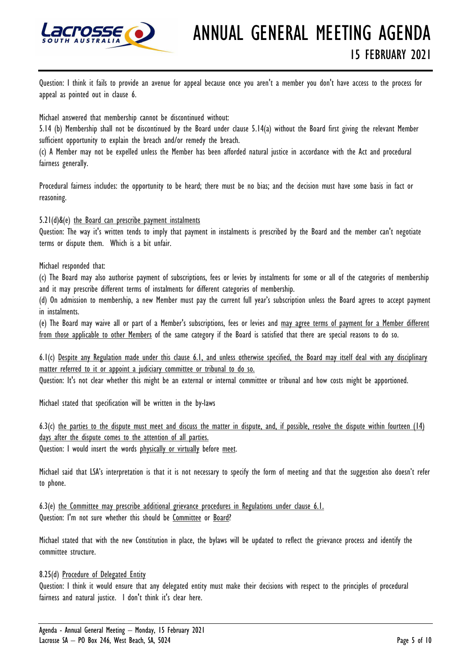

# ANNUAL GENERAL MEETING AGENDA 15 FEBRUARY 2021

Question: I think it fails to provide an avenue for appeal because once you aren't a member you don't have access to the process for appeal as pointed out in clause 6.

Michael answered that membership cannot be discontinued without:

5.14 (b) Membership shall not be discontinued by the Board under clause 5.14(a) without the Board first giving the relevant Member sufficient opportunity to explain the breach and/or remedy the breach.

(c) A Member may not be expelled unless the Member has been afforded natural justice in accordance with the Act and procedural fairness generally.

Procedural fairness includes: the opportunity to be heard; there must be no bias; and the decision must have some basis in fact or reasoning.

# 5.21(d)&(e) the Board can prescribe payment instalments

Question: The way it's written tends to imply that payment in instalments is prescribed by the Board and the member can't negotiate terms or dispute them. Which is a bit unfair.

# Michael responded that:

(c) The Board may also authorise payment of subscriptions, fees or levies by instalments for some or all of the categories of membership and it may prescribe different terms of instalments for different categories of membership.

(d) On admission to membership, a new Member must pay the current full year's subscription unless the Board agrees to accept payment in instalments.

(e) The Board may waive all or part of a Member's subscriptions, fees or levies and may agree terms of payment for a Member different from those applicable to other Members of the same category if the Board is satisfied that there are special reasons to do so.

6.1(c) Despite any Regulation made under this clause 6.1, and unless otherwise specified, the Board may itself deal with any disciplinary matter referred to it or appoint a judiciary committee or tribunal to do so.

Question: It's not clear whether this might be an external or internal committee or tribunal and how costs might be apportioned.

Michael stated that specification will be written in the by-laws

 $6.3(c)$  the parties to the dispute must meet and discuss the matter in dispute, and, if possible, resolve the dispute within fourteen  $(14)$ days after the dispute comes to the attention of all parties.

Question: I would insert the words physically or virtually before meet.

Michael said that LSA's interpretation is that it is not necessary to specify the form of meeting and that the suggestion also doesn't refer to phone.

6.3(e) the Committee may prescribe additional grievance procedures in Regulations under clause 6.1. Question: I'm not sure whether this should be Committee or Board?

Michael stated that with the new Constitution in place, the bylaws will be updated to reflect the grievance process and identify the committee structure.

# 8.25(d) Procedure of Delegated Entity

Question: I think it would ensure that any delegated entity must make their decisions with respect to the principles of procedural fairness and natural justice. I don't think it's clear here.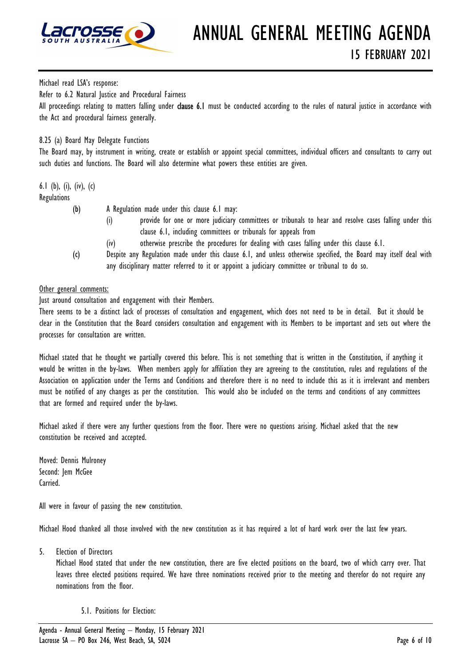

Michael read LSA's response:

Refer to 6.2 Natural Justice and Procedural Fairness

All proceedings relating to matters falling under **clause 6.1** must be conducted according to the rules of natural justice in accordance with the Act and procedural fairness generally.

# 8.25 (a) Board May Delegate Functions

The Board may, by instrument in writing, create or establish or appoint special committees, individual officers and consultants to carry out such duties and functions. The Board will also determine what powers these entities are given.

6.1 (b), (i), (iv), (c) **Regulations** 

- 
- (b) A Regulation made under this clause 6.1 may:
	- (i) provide for one or more judiciary committees or tribunals to hear and resolve cases falling under this clause 6.1, including committees or tribunals for appeals from
	- (iv) otherwise prescribe the procedures for dealing with cases falling under this clause 6.1.
- (c) Despite any Regulation made under this clause 6.1, and unless otherwise specified, the Board may itself deal with any disciplinary matter referred to it or appoint a judiciary committee or tribunal to do so.

# Other general comments:

Just around consultation and engagement with their Members.

There seems to be a distinct lack of processes of consultation and engagement, which does not need to be in detail. But it should be clear in the Constitution that the Board considers consultation and engagement with its Members to be important and sets out where the processes for consultation are written.

Michael stated that he thought we partially covered this before. This is not something that is written in the Constitution, if anything it would be written in the by-laws. When members apply for affiliation they are agreeing to the constitution, rules and regulations of the Association on application under the Terms and Conditions and therefore there is no need to include this as it is irrelevant and members must be notified of any changes as per the constitution. This would also be included on the terms and conditions of any committees that are formed and required under the by-laws.

Michael asked if there were any further questions from the floor. There were no questions arising. Michael asked that the new constitution be received and accepted.

Moved: Dennis Mulroney Second: Jem McGee Carried.

All were in favour of passing the new constitution.

Michael Hood thanked all those involved with the new constitution as it has required a lot of hard work over the last few years.

5. Election of Directors

Michael Hood stated that under the new constitution, there are five elected positions on the board, two of which carry over. That leaves three elected positions required. We have three nominations received prior to the meeting and therefor do not require any nominations from the floor.

5.1. Positions for Election: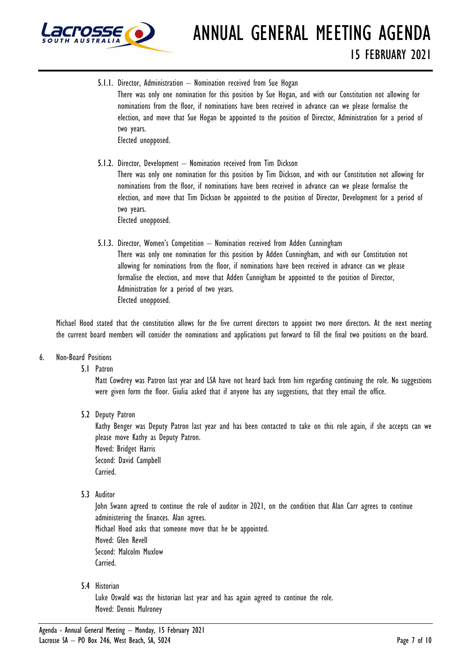

ANNUAL GENERAL MEETING AGENDA 15 FEBRUARY 2021

- 5.1.1. Director, Administration Nomination received from Sue Hogan There was only one nomination for this position by Sue Hogan, and with our Constitution not allowing for nominations from the floor, if nominations have been received in advance can we please formalise the election, and move that Sue Hogan be appointed to the position of Director, Administration for a period of two years. Elected unopposed.
- 5.1.2. Director, Development Nomination received from Tim Dickson There was only one nomination for this position by Tim Dickson, and with our Constitution not allowing for nominations from the floor, if nominations have been received in advance can we please formalise the election, and move that Tim Dickson be appointed to the position of Director, Development for a period of two years. Elected unopposed.
- 5.1.3. Director, Women's Competition Nomination received from Adden Cunningham There was only one nomination for this position by Adden Cunningham, and with our Constitution not allowing for nominations from the floor, if nominations have been received in advance can we please formalise the election, and move that Adden Cunnigham be appointed to the position of Director, Administration for a period of two years. Elected unopposed.

Michael Hood stated that the constitution allows for the five current directors to appoint two more directors. At the next meeting the current board members will consider the nominations and applications put forward to fill the final two positions on the board.

# 6. Non-Board Positions

5.1 Patron

Matt Cowdrey was Patron last year and LSA have not heard back from him regarding continuing the role. No suggestions were given form the floor. Giulia asked that if anyone has any suggestions, that they email the office.

5.2 Deputy Patron

Kathy Benger was Deputy Patron last year and has been contacted to take on this role again, if she accepts can we please move Kathy as Deputy Patron. Moved: Bridget Harris Second: David Campbell

Carried.

5.3 Auditor

John Swann agreed to continue the role of auditor in 2021, on the condition that Alan Carr agrees to continue administering the finances. Alan agrees. Michael Hood asks that someone move that he be appointed. Moved: Glen Revell Second: Malcolm Muxlow Carried.

5.4 Historian

Luke Oswald was the historian last year and has again agreed to continue the role. Moved: Dennis Mulroney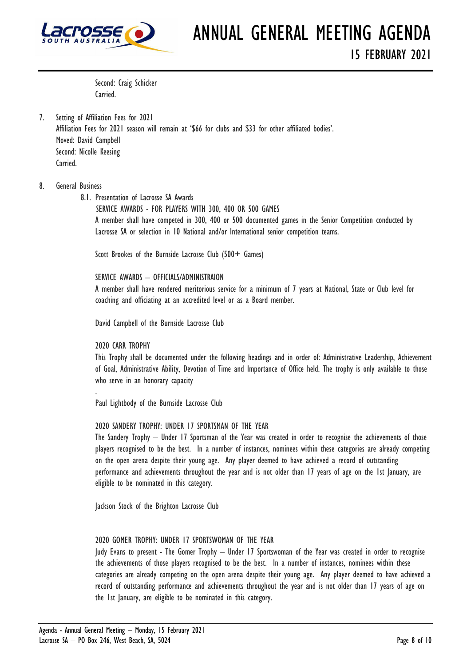

Second: Craig Schicker Carried.

7. Setting of Affiliation Fees for 2021 Affiliation Fees for 2021 season will remain at '\$66 for clubs and \$33 for other affiliated bodies'. Moved: David Campbell Second: Nicolle Keesing Carried.

# 8. General Business

8.1. Presentation of Lacrosse SA Awards

 SERVICE AWARDS - FOR PLAYERS WITH 300, 400 OR 500 GAMES A member shall have competed in 300, 400 or 500 documented games in the Senior Competition conducted by Lacrosse SA or selection in 10 National and/or International senior competition teams.

Scott Brookes of the Burnside Lacrosse Club (500+ Games)

SERVICE AWARDS – OFFICIALS/ADMINISTRAION

A member shall have rendered meritorious service for a minimum of 7 years at National, State or Club level for coaching and officiating at an accredited level or as a Board member.

David Campbell of the Burnside Lacrosse Club

2020 CARR TROPHY

.

This Trophy shall be documented under the following headings and in order of: Administrative Leadership, Achievement of Goal, Administrative Ability, Devotion of Time and Importance of Office held. The trophy is only available to those who serve in an honorary capacity

Paul Lightbody of the Burnside Lacrosse Club

#### 2020 SANDERY TROPHY: UNDER 17 SPORTSMAN OF THE YEAR

The Sandery Trophy – Under 17 Sportsman of the Year was created in order to recognise the achievements of those players recognised to be the best. In a number of instances, nominees within these categories are already competing on the open arena despite their young age. Any player deemed to have achieved a record of outstanding performance and achievements throughout the year and is not older than 17 years of age on the 1st January, are eligible to be nominated in this category.

Jackson Stock of the Brighton Lacrosse Club

# 2020 GOMER TROPHY: UNDER 17 SPORTSWOMAN OF THE YEAR

Judy Evans to present - The Gomer Trophy – Under 17 Sportswoman of the Year was created in order to recognise the achievements of those players recognised to be the best. In a number of instances, nominees within these categories are already competing on the open arena despite their young age. Any player deemed to have achieved a record of outstanding performance and achievements throughout the year and is not older than 17 years of age on the 1st January, are eligible to be nominated in this category.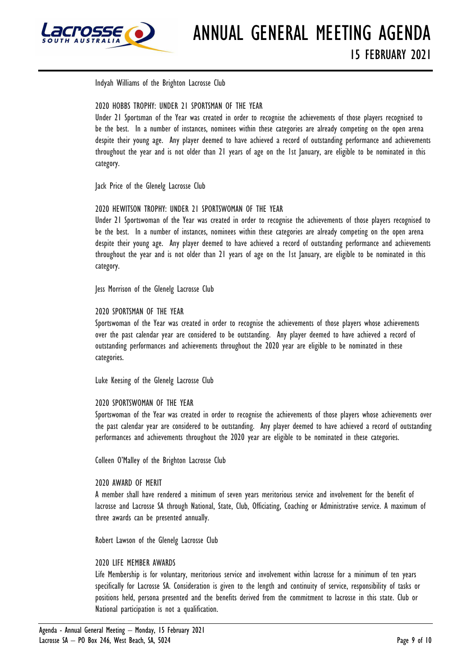

Indyah Williams of the Brighton Lacrosse Club

# 2020 HOBBS TROPHY: UNDER 21 SPORTSMAN OF THE YEAR

Under 21 Sportsman of the Year was created in order to recognise the achievements of those players recognised to be the best. In a number of instances, nominees within these categories are already competing on the open arena despite their young age. Any player deemed to have achieved a record of outstanding performance and achievements throughout the year and is not older than 21 years of age on the 1st January, are eligible to be nominated in this category.

Jack Price of the Glenelg Lacrosse Club

# 2020 HEWITSON TROPHY: UNDER 21 SPORTSWOMAN OF THE YEAR

Under 21 Sportswoman of the Year was created in order to recognise the achievements of those players recognised to be the best. In a number of instances, nominees within these categories are already competing on the open arena despite their young age. Any player deemed to have achieved a record of outstanding performance and achievements throughout the year and is not older than 21 years of age on the 1st January, are eligible to be nominated in this category.

Jess Morrison of the Glenelg Lacrosse Club

# 2020 SPORTSMAN OF THE YEAR

Sportswoman of the Year was created in order to recognise the achievements of those players whose achievements over the past calendar year are considered to be outstanding. Any player deemed to have achieved a record of outstanding performances and achievements throughout the 2020 year are eligible to be nominated in these categories.

Luke Keesing of the Glenelg Lacrosse Club

# 2020 SPORTSWOMAN OF THE YEAR

Sportswoman of the Year was created in order to recognise the achievements of those players whose achievements over the past calendar year are considered to be outstanding. Any player deemed to have achieved a record of outstanding performances and achievements throughout the 2020 year are eligible to be nominated in these categories.

Colleen O'Malley of the Brighton Lacrosse Club

# 2020 AWARD OF MERIT

A member shall have rendered a minimum of seven years meritorious service and involvement for the benefit of lacrosse and Lacrosse SA through National, State, Club, Officiating, Coaching or Administrative service. A maximum of three awards can be presented annually.

Robert Lawson of the Glenelg Lacrosse Club

# 2020 LIFE MEMBER AWARDS

Life Membership is for voluntary, meritorious service and involvement within lacrosse for a minimum of ten years specifically for Lacrosse SA. Consideration is given to the length and continuity of service, responsibility of tasks or positions held, persona presented and the benefits derived from the commitment to lacrosse in this state. Club or National participation is not a qualification.